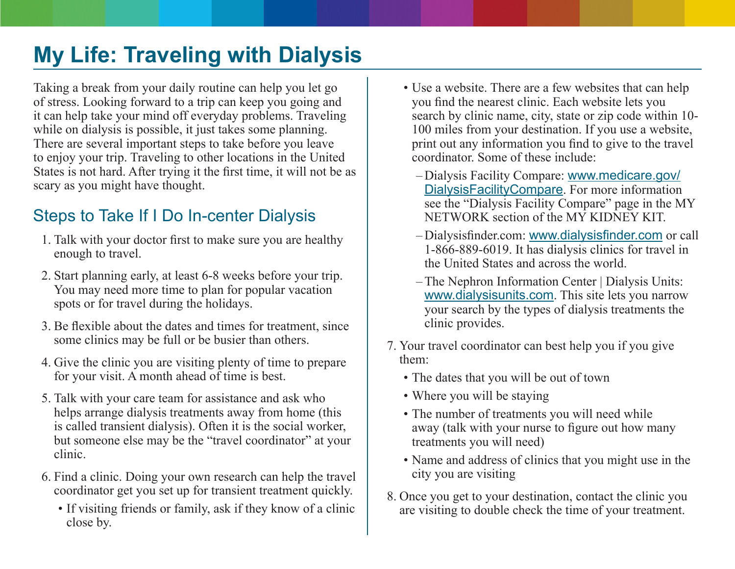# **My Life: Traveling with Dialysis**

Taking a break from your daily routine can help you let go of stress. Looking forward to a trip can keep you going and it can help take your mind off everyday problems. Traveling while on dialysis is possible, it just takes some planning. There are several important steps to take before you leave to enjoy your trip. Traveling to other locations in the United States is not hard. After trying it the first time, it will not be as scary as you might have thought.

## Steps to Take If I Do In-center Dialysis

- 1. Talk with your doctor first to make sure you are healthy enough to travel.
- 2. Start planning early, at least 6-8 weeks before your trip. You may need more time to plan for popular vacation spots or for travel during the holidays.
- 3. Be flexible about the dates and times for treatment, since some clinics may be full or be busier than others.
- 4. Give the clinic you are visiting plenty of time to prepare for your visit. A month ahead of time is best.
- 5. Talk with your care team for assistance and ask who helps arrange dialysis treatments away from home (this is called transient dialysis). Often it is the social worker, but someone else may be the "travel coordinator" at your clinic.
- 6. Find a clinic. Doing your own research can help the travel coordinator get you set up for transient treatment quickly.
	- If visiting friends or family, ask if they know of a clinic close by.
- Use a website. There are a few websites that can help you find the nearest clinic. Each website lets you search by clinic name, city, state or zip code within 10- 100 miles from your destination. If you use a website, print out any information you find to give to the travel coordinator. Some of these include:
	- –Dialysis Facility Compare: [www.medicare.gov/](http://www.medicare.gov/DialysisFacilityCompare) [DialysisFacilityCompare](http://www.medicare.gov/DialysisFacilityCompare). For more information see the "Dialysis Facility Compare" page in the MY NETWORK section of the MY KIDNEY KIT.
	- –Dialysisfinder.com: [www.dialysisfinder.com](http://www.dialysisfinder.com) or call 1-866-889-6019. It has dialysis clinics for travel in the United States and across the world.
	- –The Nephron Information Center | Dialysis Units: [www.dialysisunits.com](http://www.dialysisunits.com). This site lets you narrow your search by the types of dialysis treatments the clinic provides.
- 7. Your travel coordinator can best help you if you give them:
	- The dates that you will be out of town
	- Where you will be staying
	- The number of treatments you will need while away (talk with your nurse to figure out how many treatments you will need)
	- Name and address of clinics that you might use in the city you are visiting
- 8. Once you get to your destination, contact the clinic you are visiting to double check the time of your treatment.